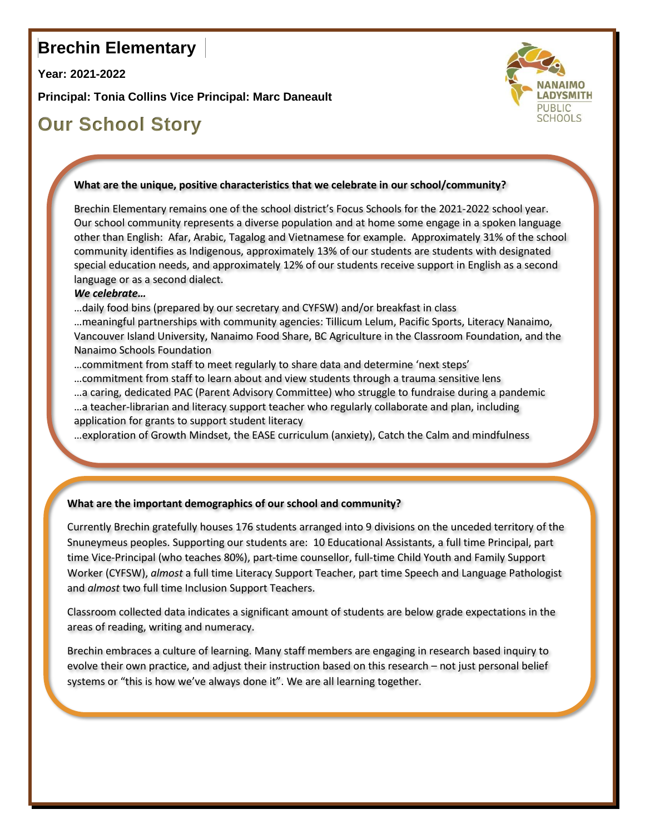## **Brechin Elementary**

**Year: 2021-2022**

**Principal: Tonia Collins Vice Principal: Marc Daneault**





#### **What are the unique, positive characteristics that we celebrate in our school/community?**

Brechin Elementary remains one of the school district's Focus Schools for the 2021-2022 school year. Our school community represents a diverse population and at home some engage in a spoken language other than English: Afar, Arabic, Tagalog and Vietnamese for example. Approximately 31% of the school community identifies as Indigenous, approximately 13% of our students are students with designated special education needs, and approximately 12% of our students receive support in English as a second language or as a second dialect.

#### *We celebrate…*

…daily food bins (prepared by our secretary and CYFSW) and/or breakfast in class

…meaningful partnerships with community agencies: Tillicum Lelum, Pacific Sports, Literacy Nanaimo, Vancouver Island University, Nanaimo Food Share, BC Agriculture in the Classroom Foundation, and the Nanaimo Schools Foundation

- …commitment from staff to meet regularly to share data and determine 'next steps'
- …commitment from staff to learn about and view students through a trauma sensitive lens
- …a caring, dedicated PAC (Parent Advisory Committee) who struggle to fundraise during a pandemic
- …a teacher-librarian and literacy support teacher who regularly collaborate and plan, including application for grants to support student literacy

…exploration of Growth Mindset, the EASE curriculum (anxiety), Catch the Calm and mindfulness

#### **What are the important demographics of our school and community?**

Currently Brechin gratefully houses 176 students arranged into 9 divisions on the unceded territory of the Snuneymeus peoples. Supporting our students are: 10 Educational Assistants, a full time Principal, part time Vice-Principal (who teaches 80%), part-time counsellor, full-time Child Youth and Family Support Worker (CYFSW), *almost* a full time Literacy Support Teacher, part time Speech and Language Pathologist and *almost* two full time Inclusion Support Teachers.

Classroom collected data indicates a significant amount of students are below grade expectations in the areas of reading, writing and numeracy.

Brechin embraces a culture of learning. Many staff members are engaging in research based inquiry to evolve their own practice, and adjust their instruction based on this research – not just personal belief systems or "this is how we've always done it". We are all learning together.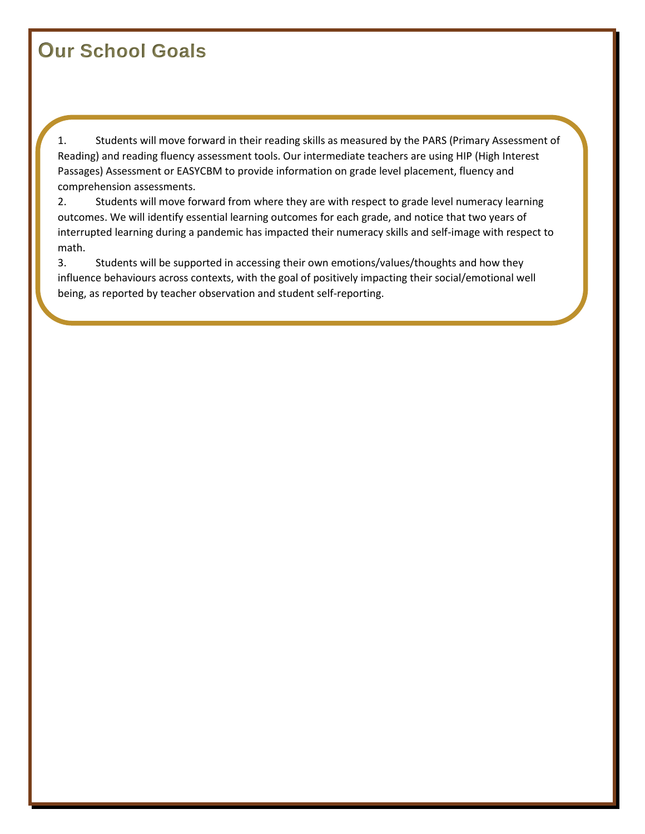# **Our School Goals**

1. Students will move forward in their reading skills as measured by the PARS (Primary Assessment of Reading) and reading fluency assessment tools. Our intermediate teachers are using HIP (High Interest Passages) Assessment or EASYCBM to provide information on grade level placement, fluency and comprehension assessments.

2. Students will move forward from where they are with respect to grade level numeracy learning outcomes. We will identify essential learning outcomes for each grade, and notice that two years of interrupted learning during a pandemic has impacted their numeracy skills and self-image with respect to math.

3. Students will be supported in accessing their own emotions/values/thoughts and how they influence behaviours across contexts, with the goal of positively impacting their social/emotional well being, as reported by teacher observation and student self-reporting.